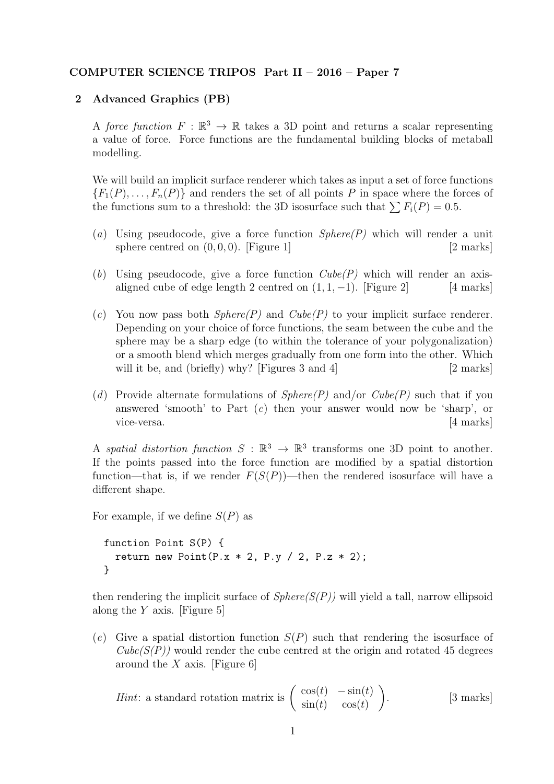## COMPUTER SCIENCE TRIPOS Part II – 2016 – Paper 7

## 2 Advanced Graphics (PB)

A force function  $F : \mathbb{R}^3 \to \mathbb{R}$  takes a 3D point and returns a scalar representing a value of force. Force functions are the fundamental building blocks of metaball modelling.

We will build an implicit surface renderer which takes as input a set of force functions  ${F_1(P), \ldots, F_n(P)}$  and renders the set of all points P in space where the forces of the functions sum to a threshold: the 3D isosurface such that  $\sum F_i(P) = 0.5$ .

- (a) Using pseudocode, give a force function  $Sphere(P)$  which will render a unit sphere centred on  $(0, 0, 0)$ . [Figure 1] [2 marks]
- (b) Using pseudocode, give a force function  $Cube(P)$  which will render an axisaligned cube of edge length 2 centred on  $(1, 1, -1)$ . [Figure 2] [4 marks]
- (c) You now pass both  $Sphere(P)$  and  $Cube(P)$  to your implicit surface renderer. Depending on your choice of force functions, the seam between the cube and the sphere may be a sharp edge (to within the tolerance of your polygonalization) or a smooth blend which merges gradually from one form into the other. Which will it be, and (briefly) why? [Figures 3 and 4]  $[2 \text{ marks}]$
- (d) Provide alternate formulations of  $Sphere(P)$  and/or  $Cube(P)$  such that if you answered 'smooth' to Part (c) then your answer would now be 'sharp', or vice-versa. [4 marks]

A spatial distortion function  $S : \mathbb{R}^3 \to \mathbb{R}^3$  transforms one 3D point to another. If the points passed into the force function are modified by a spatial distortion function—that is, if we render  $F(S(P))$ —then the rendered isosurface will have a different shape.

For example, if we define  $S(P)$  as

```
function Point S(P) {
  return new Point (P.x * 2, P.y / 2, P.z * 2);
}
```
then rendering the implicit surface of  $Sphere(S(P))$  will yield a tall, narrow ellipsoid along the  $Y$  axis. [Figure 5]

(e) Give a spatial distortion function  $S(P)$  such that rendering the isosurface of  $Cube(S(P))$  would render the cube centred at the origin and rotated 45 degrees around the  $X$  axis. [Figure 6]

*Hint*: a standard rotation matrix is 
$$
\begin{pmatrix} \cos(t) & -\sin(t) \\ \sin(t) & \cos(t) \end{pmatrix}
$$
. [3 marks]